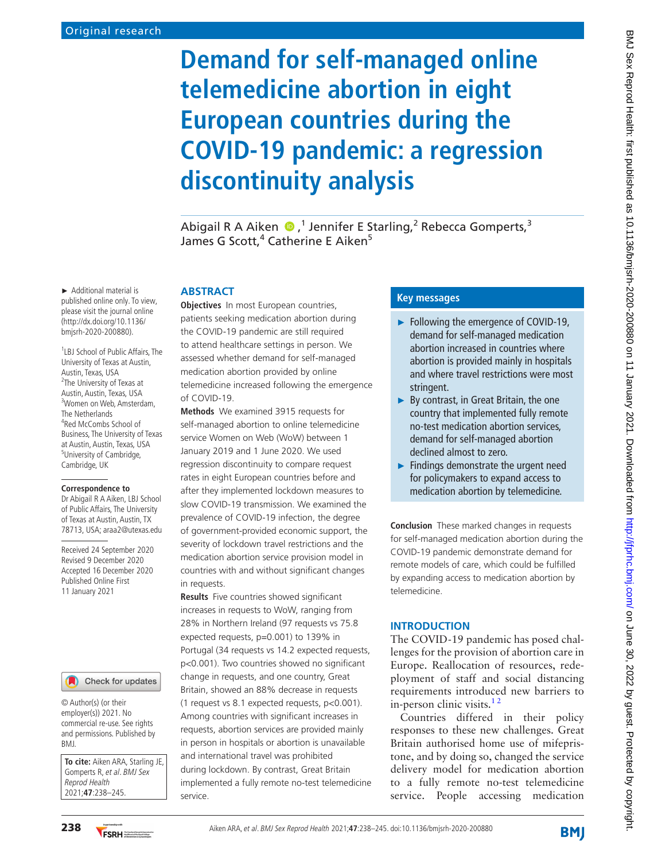# **Demand for self-managed online telemedicine abortion in eight European countries during the COVID-19 pandemic: a regression discontinuity analysis**

AbigailR A Aiken  $\bigcirc$ ,<sup>1</sup> Jennifer E Starling,<sup>2</sup> Rebecca Gomperts,<sup>3</sup> James G Scott,<sup>4</sup> Catherine E Aiken<sup>5</sup>

#### **ABSTRACT**

**Objectives** In most European countries, patients seeking medication abortion during the COVID-19 pandemic are still required to attend healthcare settings in person. We assessed whether demand for self-managed medication abortion provided by online telemedicine increased following the emergence of COVID-19.

**Methods** We examined 3915 requests for self-managed abortion to online telemedicine service Women on Web (WoW) between 1 January 2019 and 1 June 2020. We used regression discontinuity to compare request rates in eight European countries before and after they implemented lockdown measures to slow COVID-19 transmission. We examined the prevalence of COVID-19 infection, the degree of government-provided economic support, the severity of lockdown travel restrictions and the medication abortion service provision model in countries with and without significant changes in requests.

**Results** Five countries showed significant increases in requests to WoW, ranging from 28% in Northern Ireland (97 requests vs 75.8 expected requests, p=0.001) to 139% in Portugal (34 requests vs 14.2 expected requests, p<0.001). Two countries showed no significant change in requests, and one country, Great Britain, showed an 88% decrease in requests (1 request vs 8.1 expected requests, p<0.001). Among countries with significant increases in requests, abortion services are provided mainly in person in hospitals or abortion is unavailable and international travel was prohibited during lockdown. By contrast, Great Britain implemented a fully remote no-test telemedicine service.

# **Key messages**

- ► Following the emergence of COVID-19, demand for self-managed medication abortion increased in countries where abortion is provided mainly in hospitals and where travel restrictions were most stringent.
- ► By contrast, in Great Britain, the one country that implemented fully remote no-test medication abortion services, demand for self-managed abortion declined almost to zero.
- ► Findings demonstrate the urgent need for policymakers to expand access to medication abortion by telemedicine.

**Conclusion** These marked changes in requests for self-managed medication abortion during the COVID-19 pandemic demonstrate demand for remote models of care, which could be fulfilled by expanding access to medication abortion by telemedicine.

## **INTRODUCTION**

The COVID-19 pandemic has posed challenges for the provision of abortion care in Europe. Reallocation of resources, redeployment of staff and social distancing requirements introduced new barriers to in-person clinic visits.<sup>12</sup>

Countries differed in their policy responses to these new challenges. Great Britain authorised home use of mifepristone, and by doing so, changed the service delivery model for medication abortion to a fully remote no-test telemedicine service. People accessing medication

► Additional material is published online only. To view, please visit the journal online (http://dx.doi.org/10.1136/ bmjsrh-2020-200880).

1 LBJ School of Public Affairs, The University of Texas at Austin, Austin, Texas, USA <sup>2</sup>The University of Texas at Austin, Austin, Texas, USA 3 Women on Web, Amsterdam, The Netherlands 4 Red McCombs School of Business, The University of Texas at Austin, Austin, Texas, USA 5 University of Cambridge, Cambridge, UK

#### **Correspondence to**

Dr Abigail R A Aiken, LBJ School of Public Affairs, The University of Texas at Austin, Austin, TX 78713, USA; araa2@utexas.edu

Received 24 September 2020 Revised 9 December 2020 Accepted 16 December 2020 Published Online First 11 January 2021



© Author(s) (or their employer(s)) 2021. No commercial re-use. See rights and permissions. Published by BMJ.

**To cite:** Aiken ARA, Starling JE, Gomperts R, et al. BMJ Sex Reprod Health 2021;**47**:238–245.

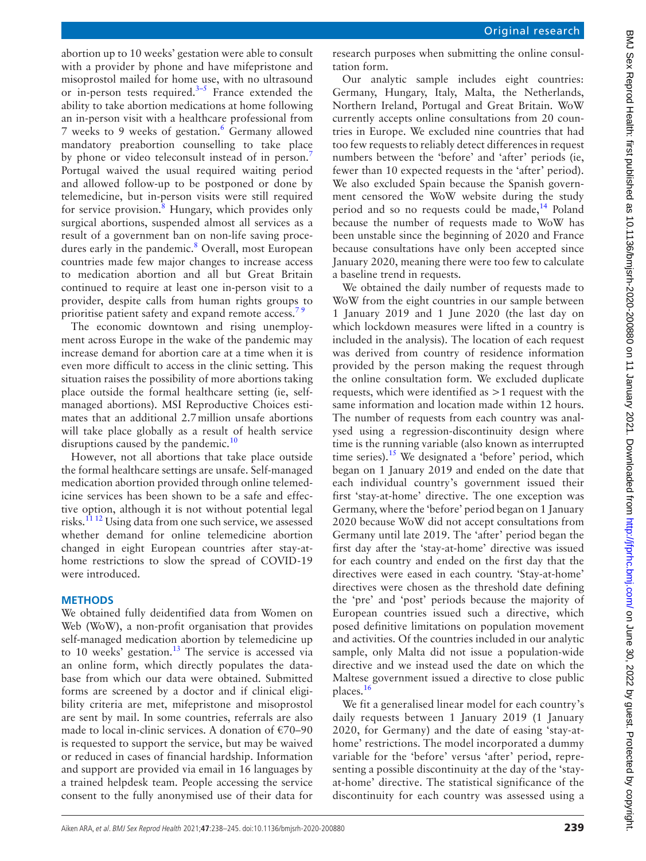abortion up to 10 weeks' gestation were able to consult with a provider by phone and have mifepristone and misoprostol mailed for home use, with no ultrasound or in-person tests required. $3-5$  France extended the ability to take abortion medications at home following an in-person visit with a healthcare professional from 7 weeks to 9 weeks of gestation.<sup>6</sup> Germany allowed mandatory preabortion counselling to take place by phone or video teleconsult instead of in person.<sup>[7](#page-6-3)</sup> Portugal waived the usual required waiting period and allowed follow-up to be postponed or done by telemedicine, but in-person visits were still required for service provision.<sup>[8](#page-6-4)</sup> Hungary, which provides only surgical abortions, suspended almost all services as a result of a government ban on non-life saving proce-dures early in the pandemic.<sup>[8](#page-6-4)</sup> Overall, most European countries made few major changes to increase access to medication abortion and all but Great Britain continued to require at least one in-person visit to a provider, despite calls from human rights groups to prioritise patient safety and expand remote access.<sup>79</sup>

The economic downtown and rising unemployment across Europe in the wake of the pandemic may increase demand for abortion care at a time when it is even more difficult to access in the clinic setting. This situation raises the possibility of more abortions taking place outside the formal healthcare setting (ie, selfmanaged abortions). MSI Reproductive Choices estimates that an additional 2.7million unsafe abortions will take place globally as a result of health service disruptions caused by the pandemic.<sup>[10](#page-6-5)</sup>

However, not all abortions that take place outside the formal healthcare settings are unsafe. Self-managed medication abortion provided through online telemedicine services has been shown to be a safe and effective option, although it is not without potential legal risks.<sup>11 12</sup> Using data from one such service, we assessed whether demand for online telemedicine abortion changed in eight European countries after stay-athome restrictions to slow the spread of COVID-19 were introduced.

# **METHODS**

We obtained fully deidentified data from Women on Web (WoW), a non-profit organisation that provides self-managed medication abortion by telemedicine up to 10 weeks' gestation. $13$  The service is accessed via an online form, which directly populates the database from which our data were obtained. Submitted forms are screened by a doctor and if clinical eligibility criteria are met, mifepristone and misoprostol are sent by mail. In some countries, referrals are also made to local in-clinic services. A donation of  $\epsilon$ 70–90 is requested to support the service, but may be waived or reduced in cases of financial hardship. Information and support are provided via email in 16 languages by a trained helpdesk team. People accessing the service consent to the fully anonymised use of their data for

research purposes when submitting the online consultation form.

Our analytic sample includes eight countries: Germany, Hungary, Italy, Malta, the Netherlands, Northern Ireland, Portugal and Great Britain. WoW currently accepts online consultations from 20 countries in Europe. We excluded nine countries that had too few requests to reliably detect differences in request numbers between the 'before' and 'after' periods (ie, fewer than 10 expected requests in the 'after' period). We also excluded Spain because the Spanish government censored the WoW website during the study period and so no requests could be made, $14$  Poland because the number of requests made to WoW has been unstable since the beginning of 2020 and France because consultations have only been accepted since January 2020, meaning there were too few to calculate a baseline trend in requests.

We obtained the daily number of requests made to WoW from the eight countries in our sample between 1 January 2019 and 1 June 2020 (the last day on which lockdown measures were lifted in a country is included in the analysis). The location of each request was derived from country of residence information provided by the person making the request through the online consultation form. We excluded duplicate requests, which were identified as >1 request with the same information and location made within 12 hours. The number of requests from each country was analysed using a regression-discontinuity design where time is the running variable (also known as interrupted time series).<sup>15</sup> We designated a 'before' period, which began on 1 January 2019 and ended on the date that each individual country's government issued their first 'stay-at-home' directive. The one exception was Germany, where the 'before' period began on 1 January 2020 because WoW did not accept consultations from Germany until late 2019. The 'after' period began the first day after the 'stay-at-home' directive was issued for each country and ended on the first day that the directives were eased in each country. 'Stay-at-home' directives were chosen as the threshold date defining the 'pre' and 'post' periods because the majority of European countries issued such a directive, which posed definitive limitations on population movement and activities. Of the countries included in our analytic sample, only Malta did not issue a population-wide directive and we instead used the date on which the Maltese government issued a directive to close public places[.16](#page-6-10)

We fit a generalised linear model for each country's daily requests between 1 January 2019 (1 January 2020, for Germany) and the date of easing 'stay-athome' restrictions. The model incorporated a dummy variable for the 'before' versus 'after' period, representing a possible discontinuity at the day of the 'stayat-home' directive. The statistical significance of the discontinuity for each country was assessed using a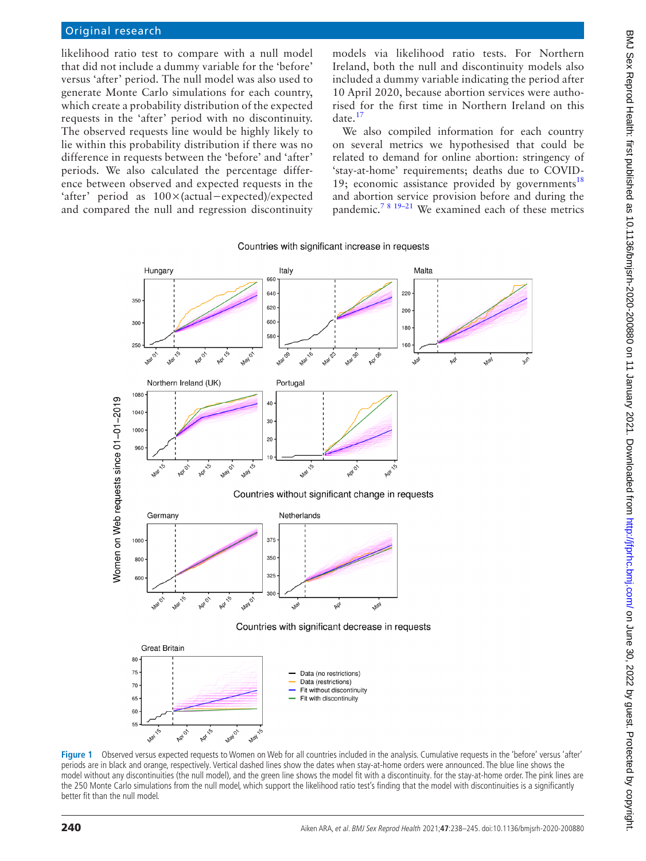# Original research

likelihood ratio test to compare with a null model that did not include a dummy variable for the 'before' versus 'after' period. The null model was also used to generate Monte Carlo simulations for each country, which create a probability distribution of the expected requests in the 'after' period with no discontinuity. The observed requests line would be highly likely to lie within this probability distribution if there was no difference in requests between the 'before' and 'after' periods. We also calculated the percentage difference between observed and expected requests in the 'after' period as 100×(actual−expected)/expected and compared the null and regression discontinuity

models via likelihood ratio tests. For Northern Ireland, both the null and discontinuity models also included a dummy variable indicating the period after 10 April 2020, because abortion services were authorised for the first time in Northern Ireland on this  $date.<sup>17</sup>$  $date.<sup>17</sup>$  $date.<sup>17</sup>$ 

We also compiled information for each country on several metrics we hypothesised that could be related to demand for online abortion: stringency of 'stay-at-home' requirements; deaths due to COVID-19; economic assistance provided by governments<sup>[18](#page-6-12)</sup> and abortion service provision before and during the pandemic.[7 8 19–21](#page-6-3) We examined each of these metrics

#### Countries with significant increase in requests



<span id="page-2-0"></span>**Figure 1** Observed versus expected requests to Women on Web for all countries included in the analysis. Cumulative requests in the 'before' versus 'after' periods are in black and orange, respectively. Vertical dashed lines show the dates when stay-at-home orders were announced. The blue line shows the model without any discontinuities (the null model), and the green line shows the model fit with a discontinuity. for the stay-at-home order. The pink lines are the 250 Monte Carlo simulations from the null model, which support the likelihood ratio test's finding that the model with discontinuities is a significantly better fit than the null model.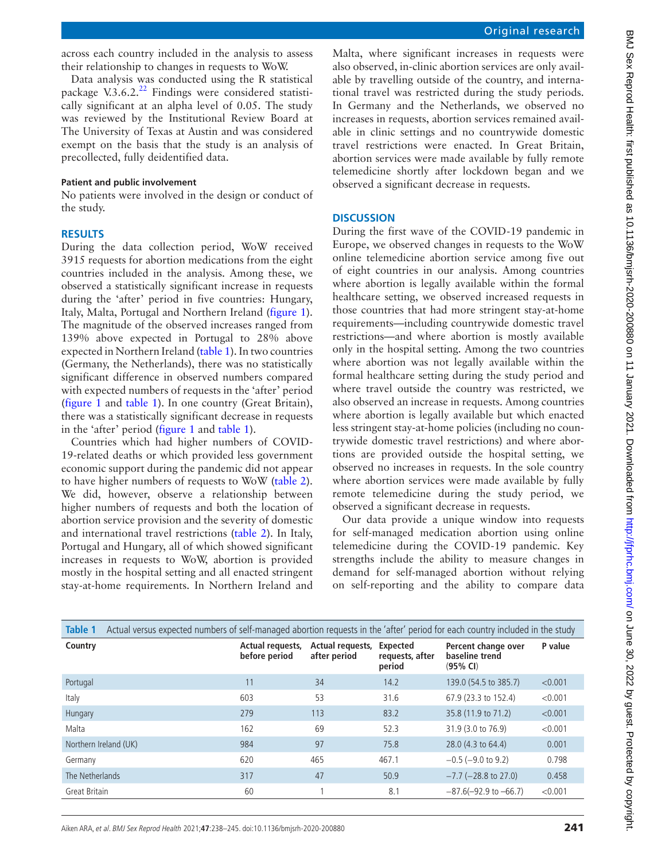across each country included in the analysis to assess their relationship to changes in requests to WoW.

Data analysis was conducted using the R statistical package V.3.6.2[.22](#page-7-0) Findings were considered statistically significant at an alpha level of 0.05. The study was reviewed by the Institutional Review Board at The University of Texas at Austin and was considered exempt on the basis that the study is an analysis of precollected, fully deidentified data.

#### **Patient and public involvement**

No patients were involved in the design or conduct of the study.

#### **RESULTS**

During the data collection period, WoW received 3915 requests for abortion medications from the eight countries included in the analysis. Among these, we observed a statistically significant increase in requests during the 'after' period in five countries: Hungary, Italy, Malta, Portugal and Northern Ireland ([figure](#page-2-0) 1). The magnitude of the observed increases ranged from 139% above expected in Portugal to 28% above expected in Northern Ireland ([table](#page-3-0) 1). In two countries (Germany, the Netherlands), there was no statistically significant difference in observed numbers compared with expected numbers of requests in the 'after' period ([figure](#page-2-0) 1 and [table](#page-3-0) 1). In one country (Great Britain), there was a statistically significant decrease in requests in the 'after' period [\(figure](#page-2-0) 1 and [table](#page-3-0) 1).

Countries which had higher numbers of COVID-19-related deaths or which provided less government economic support during the pandemic did not appear to have higher numbers of requests to WoW [\(table](#page-4-0) 2). We did, however, observe a relationship between higher numbers of requests and both the location of abortion service provision and the severity of domestic and international travel restrictions [\(table](#page-4-0) 2). In Italy, Portugal and Hungary, all of which showed significant increases in requests to WoW, abortion is provided mostly in the hospital setting and all enacted stringent stay-at-home requirements. In Northern Ireland and Malta, where significant increases in requests were also observed, in-clinic abortion services are only available by travelling outside of the country, and international travel was restricted during the study periods. In Germany and the Netherlands, we observed no increases in requests, abortion services remained available in clinic settings and no countrywide domestic travel restrictions were enacted. In Great Britain, abortion services were made available by fully remote telemedicine shortly after lockdown began and we observed a significant decrease in requests.

### **DISCUSSION**

During the first wave of the COVID-19 pandemic in Europe, we observed changes in requests to the WoW online telemedicine abortion service among five out of eight countries in our analysis. Among countries where abortion is legally available within the formal healthcare setting, we observed increased requests in those countries that had more stringent stay-at-home requirements—including countrywide domestic travel restrictions—and where abortion is mostly available only in the hospital setting. Among the two countries where abortion was not legally available within the formal healthcare setting during the study period and where travel outside the country was restricted, we also observed an increase in requests. Among countries where abortion is legally available but which enacted less stringent stay-at-home policies (including no countrywide domestic travel restrictions) and where abortions are provided outside the hospital setting, we observed no increases in requests. In the sole country where abortion services were made available by fully remote telemedicine during the study period, we observed a significant decrease in requests.

Our data provide a unique window into requests for self-managed medication abortion using online telemedicine during the COVID-19 pandemic. Key strengths include the ability to measure changes in demand for self-managed abortion without relying on self-reporting and the ability to compare data

<span id="page-3-0"></span>

| <b>Table 1</b>        | Actual versus expected numbers of self-managed abortion requests in the 'after' period for each country included in the study |                                  |                                              |                                                   |         |  |  |  |  |  |
|-----------------------|-------------------------------------------------------------------------------------------------------------------------------|----------------------------------|----------------------------------------------|---------------------------------------------------|---------|--|--|--|--|--|
| Country               | Actual requests,<br>before period                                                                                             | Actual requests,<br>after period | <b>Expected</b><br>requests, after<br>period | Percent change over<br>baseline trend<br>(95% CI) | P value |  |  |  |  |  |
| Portugal              | 11                                                                                                                            | 34                               | 14.2                                         | 139.0 (54.5 to 385.7)                             | < 0.001 |  |  |  |  |  |
| Italy                 | 603                                                                                                                           | 53                               | 31.6                                         | 67.9 (23.3 to 152.4)                              | < 0.001 |  |  |  |  |  |
| Hungary               | 279                                                                                                                           | 113                              | 83.2                                         | 35.8 (11.9 to 71.2)                               | < 0.001 |  |  |  |  |  |
| Malta                 | 162                                                                                                                           | 69                               | 52.3                                         | 31.9 (3.0 to 76.9)                                | < 0.001 |  |  |  |  |  |
| Northern Ireland (UK) | 984                                                                                                                           | 97                               | 75.8                                         | 28.0 (4.3 to 64.4)                                | 0.001   |  |  |  |  |  |
| Germany               | 620                                                                                                                           | 465                              | 467.1                                        | $-0.5$ ( $-9.0$ to 9.2)                           | 0.798   |  |  |  |  |  |
| The Netherlands       | 317                                                                                                                           | 47                               | 50.9                                         | $-7.7$ ( $-28.8$ to 27.0)                         | 0.458   |  |  |  |  |  |
| Great Britain         | 60                                                                                                                            |                                  | 8.1                                          | $-87.6(-92.9$ to $-66.7$ )                        | < 0.001 |  |  |  |  |  |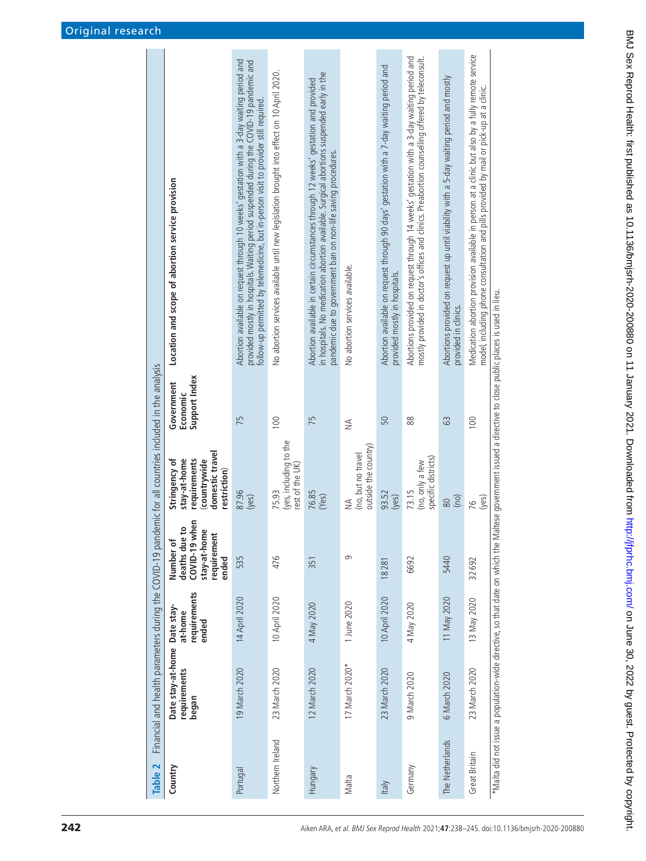<span id="page-4-0"></span>

| lemic for all countries included in the analysis<br>Financial and health parameters during the COVID-19 pand | Location and scope of abortion service provision                                                | Abortion available on request through 10 weeks' gestation with a 3-day waiting period and<br>provided mostly in hospitals. Waiting period suspended during the COVID-19 pandemic and<br>follow-up permitted by telemedicine, but in-person visit to provider still required. | No abortion services available until new legislation brought into effect on 10 April 2020. | in hospitals. No medication abortion available. Surgical abortions suspended early in the<br>Abortion available in certain circumstances through 12 weeks' gestation and provided<br>pandemic due to government ban on non-life saving procedures. | No abortion services available.                             | Abortion available on request through 90 days' gestation with a 7-day waiting period and<br>provided mostly in hospitals. | Abortions provided on request through 14 weeks' gestation with a 3-day waiting period and<br>mostly provided in doctor's offices and clinics. Preabortion counselling offered by teleconsult. | Abortions provided on request up until viability with a 5-day waiting period and mostly<br>provided in clinics. | Medication abortion provision available in person at a clinic but also by a fully remote service<br>model, including phone consultation and pills provided by mail or pick-up at a clinic. | altese government issued a directive to close public places is used in lieu.   |
|--------------------------------------------------------------------------------------------------------------|-------------------------------------------------------------------------------------------------|------------------------------------------------------------------------------------------------------------------------------------------------------------------------------------------------------------------------------------------------------------------------------|--------------------------------------------------------------------------------------------|----------------------------------------------------------------------------------------------------------------------------------------------------------------------------------------------------------------------------------------------------|-------------------------------------------------------------|---------------------------------------------------------------------------------------------------------------------------|-----------------------------------------------------------------------------------------------------------------------------------------------------------------------------------------------|-----------------------------------------------------------------------------------------------------------------|--------------------------------------------------------------------------------------------------------------------------------------------------------------------------------------------|--------------------------------------------------------------------------------|
|                                                                                                              | Support Index<br>Government<br>Economic                                                         | 75                                                                                                                                                                                                                                                                           | 100                                                                                        | 75                                                                                                                                                                                                                                                 | $\leq$                                                      | 50                                                                                                                        | 88                                                                                                                                                                                            | 63                                                                                                              | 100                                                                                                                                                                                        |                                                                                |
|                                                                                                              | domestic travel<br>stay-at-home<br>requirements<br>countrywide<br>Stringency of<br>restriction) | 87.96<br>(yes)                                                                                                                                                                                                                                                               | (yes, including to the<br>rest of the UK)<br>75.93                                         | 76.85<br>(Yes)                                                                                                                                                                                                                                     | outside the country)<br>(no, but no travel<br>$\frac{4}{2}$ | 93.52<br>(ves)                                                                                                            | specific districts)<br>(no, only a few<br>73.15                                                                                                                                               | (no)<br>80                                                                                                      | (yes)<br>76                                                                                                                                                                                |                                                                                |
|                                                                                                              | COVID-19 when<br>o<br>stay-at-home<br>requirement<br>deaths due<br>Number of<br>ended           | 535                                                                                                                                                                                                                                                                          | 476                                                                                        | 351                                                                                                                                                                                                                                                | $\sigma$                                                    | 18281                                                                                                                     | 6692                                                                                                                                                                                          | 5440                                                                                                            | 32692                                                                                                                                                                                      |                                                                                |
|                                                                                                              | requirements<br>at-home<br>ended                                                                | 14 April 2020                                                                                                                                                                                                                                                                | 10 April 2020                                                                              | 4 May 2020                                                                                                                                                                                                                                         | 1 June 2020                                                 | 10 April 2020                                                                                                             | 4 May 2020                                                                                                                                                                                    | 11 May 2020                                                                                                     | 13 May 2020                                                                                                                                                                                |                                                                                |
|                                                                                                              | Date stay-at-home Date stay-<br>requirements<br>hegan                                           | 19 March 2020                                                                                                                                                                                                                                                                | 23 March 2020                                                                              | 12 March 2020                                                                                                                                                                                                                                      | 17 March 2020*                                              | 23 March 2020                                                                                                             | 9 March 2020                                                                                                                                                                                  | 6 March 2020                                                                                                    | 23 March 2020                                                                                                                                                                              | * Malta did not issue a population-wide directive, so that date on which the M |
| Table 2                                                                                                      | Country                                                                                         | Portugal                                                                                                                                                                                                                                                                     | Northern Ireland                                                                           | Hungary                                                                                                                                                                                                                                            | Malta                                                       | <b>Italy</b>                                                                                                              | Germany                                                                                                                                                                                       | The Netherlands                                                                                                 | Great Britain                                                                                                                                                                              |                                                                                |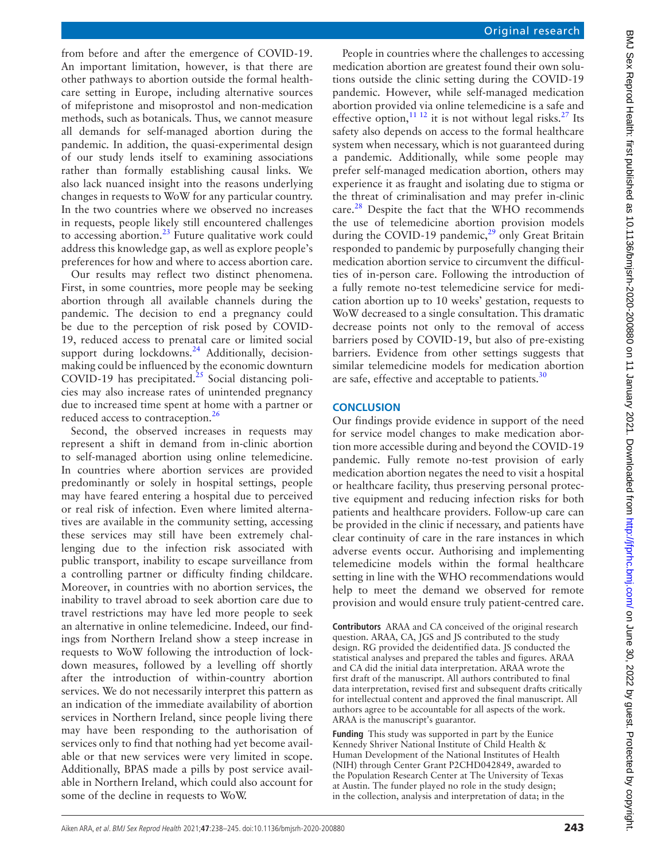from before and after the emergence of COVID-19. An important limitation, however, is that there are other pathways to abortion outside the formal healthcare setting in Europe, including alternative sources of mifepristone and misoprostol and non-medication methods, such as botanicals. Thus, we cannot measure all demands for self-managed abortion during the pandemic. In addition, the quasi-experimental design of our study lends itself to examining associations rather than formally establishing causal links. We also lack nuanced insight into the reasons underlying changes in requests to WoW for any particular country. In the two countries where we observed no increases in requests, people likely still encountered challenges to accessing abortion.[23](#page-7-1) Future qualitative work could address this knowledge gap, as well as explore people's preferences for how and where to access abortion care.

Our results may reflect two distinct phenomena. First, in some countries, more people may be seeking abortion through all available channels during the pandemic. The decision to end a pregnancy could be due to the perception of risk posed by COVID-19, reduced access to prenatal care or limited social support during lockdowns.<sup>24</sup> Additionally, decisionmaking could be influenced by the economic downturn COVID-19 has precipitated.<sup>25</sup> Social distancing policies may also increase rates of unintended pregnancy due to increased time spent at home with a partner or reduced access to contraception.<sup>26</sup>

Second, the observed increases in requests may represent a shift in demand from in-clinic abortion to self-managed abortion using online telemedicine. In countries where abortion services are provided predominantly or solely in hospital settings, people may have feared entering a hospital due to perceived or real risk of infection. Even where limited alternatives are available in the community setting, accessing these services may still have been extremely challenging due to the infection risk associated with public transport, inability to escape surveillance from a controlling partner or difficulty finding childcare. Moreover, in countries with no abortion services, the inability to travel abroad to seek abortion care due to travel restrictions may have led more people to seek an alternative in online telemedicine. Indeed, our findings from Northern Ireland show a steep increase in requests to WoW following the introduction of lockdown measures, followed by a levelling off shortly after the introduction of within-country abortion services. We do not necessarily interpret this pattern as an indication of the immediate availability of abortion services in Northern Ireland, since people living there may have been responding to the authorisation of services only to find that nothing had yet become available or that new services were very limited in scope. Additionally, BPAS made a pills by post service available in Northern Ireland, which could also account for some of the decline in requests to WoW.

People in countries where the challenges to accessing medication abortion are greatest found their own solutions outside the clinic setting during the COVID-19 pandemic. However, while self-managed medication abortion provided via online telemedicine is a safe and effective option,  $11^{12}$  it is not without legal risks.<sup>27</sup> Its safety also depends on access to the formal healthcare system when necessary, which is not guaranteed during a pandemic. Additionally, while some people may prefer self-managed medication abortion, others may experience it as fraught and isolating due to stigma or the threat of criminalisation and may prefer in-clinic care. $28$  Despite the fact that the WHO recommends the use of telemedicine abortion provision models during the COVID-19 pandemic, $^{29}$  $^{29}$  $^{29}$  only Great Britain responded to pandemic by purposefully changing their medication abortion service to circumvent the difficulties of in-person care. Following the introduction of a fully remote no-test telemedicine service for medication abortion up to 10 weeks' gestation, requests to WoW decreased to a single consultation. This dramatic decrease points not only to the removal of access barriers posed by COVID-19, but also of pre-existing barriers. Evidence from other settings suggests that similar telemedicine models for medication abortion are safe, effective and acceptable to patients.<sup>30</sup>

# **CONCLUSION**

Our findings provide evidence in support of the need for service model changes to make medication abortion more accessible during and beyond the COVID-19 pandemic. Fully remote no-test provision of early medication abortion negates the need to visit a hospital or healthcare facility, thus preserving personal protective equipment and reducing infection risks for both patients and healthcare providers. Follow-up care can be provided in the clinic if necessary, and patients have clear continuity of care in the rare instances in which adverse events occur. Authorising and implementing telemedicine models within the formal healthcare setting in line with the WHO recommendations would help to meet the demand we observed for remote provision and would ensure truly patient-centred care.

**Contributors** ARAA and CA conceived of the original research question. ARAA, CA, JGS and JS contributed to the study design. RG provided the deidentified data. JS conducted the statistical analyses and prepared the tables and figures. ARAA and CA did the initial data interpretation. ARAA wrote the first draft of the manuscript. All authors contributed to final data interpretation, revised first and subsequent drafts critically for intellectual content and approved the final manuscript. All authors agree to be accountable for all aspects of the work. ARAA is the manuscript's guarantor.

**Funding** This study was supported in part by the Eunice Kennedy Shriver National Institute of Child Health & Human Development of the National Institutes of Health (NIH) through Center Grant P2CHD042849, awarded to the Population Research Center at The University of Texas at Austin. The funder played no role in the study design; in the collection, analysis and interpretation of data; in the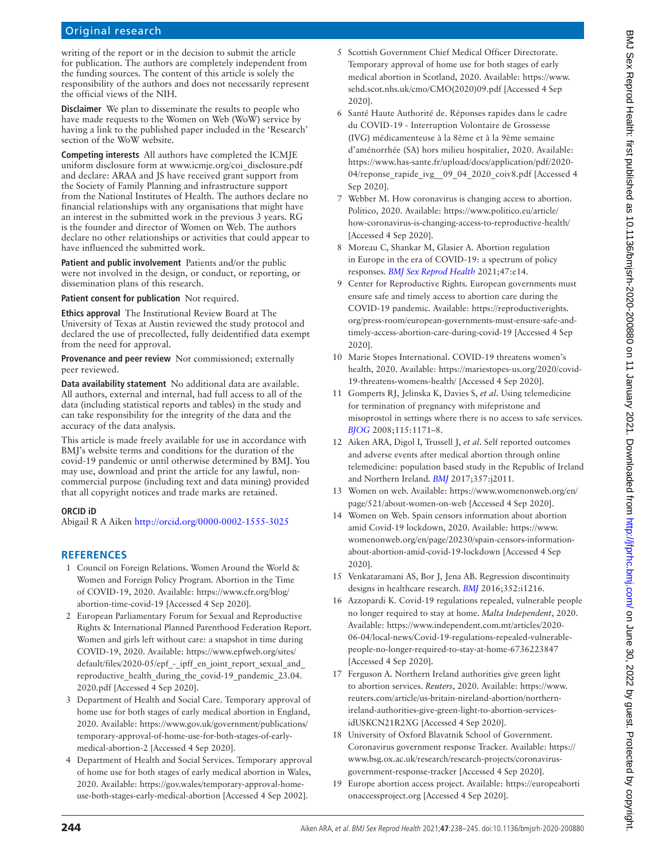# Original research

writing of the report or in the decision to submit the article for publication. The authors are completely independent from the funding sources. The content of this article is solely the responsibility of the authors and does not necessarily represent the official views of the NIH.

**Disclaimer** We plan to disseminate the results to people who have made requests to the Women on Web (WoW) service by having a link to the published paper included in the 'Research' section of the WoW website.

**Competing interests** All authors have completed the ICMJE uniform disclosure form at www.icmje.org/coi\_disclosure.pdf and declare: ARAA and JS have received grant support from the Society of Family Planning and infrastructure support from the National Institutes of Health. The authors declare no financial relationships with any organisations that might have an interest in the submitted work in the previous 3 years. RG is the founder and director of Women on Web. The authors declare no other relationships or activities that could appear to have influenced the submitted work.

**Patient and public involvement** Patients and/or the public were not involved in the design, or conduct, or reporting, or dissemination plans of this research.

**Patient consent for publication** Not required.

**Ethics approval** The Institutional Review Board at The University of Texas at Austin reviewed the study protocol and declared the use of precollected, fully deidentified data exempt from the need for approval.

**Provenance and peer review** Not commissioned; externally peer reviewed.

**Data availability statement** No additional data are available. All authors, external and internal, had full access to all of the data (including statistical reports and tables) in the study and can take responsibility for the integrity of the data and the accuracy of the data analysis.

This article is made freely available for use in accordance with BMJ's website terms and conditions for the duration of the covid-19 pandemic or until otherwise determined by BMJ. You may use, download and print the article for any lawful, noncommercial purpose (including text and data mining) provided that all copyright notices and trade marks are retained.

#### **ORCID iD**

Abigail R A Aiken <http://orcid.org/0000-0002-1555-3025>

### **REFERENCES**

- <span id="page-6-0"></span>1 Council on Foreign Relations. Women Around the World & Women and Foreign Policy Program. Abortion in the Time of COVID-19, 2020. Available: [https://www.cfr.org/blog/](https://www.cfr.org/blog/abortion-time-covid-19) [abortion-time-covid-19](https://www.cfr.org/blog/abortion-time-covid-19) [Accessed 4 Sep 2020].
- 2 European Parliamentary Forum for Sexual and Reproductive Rights & International Planned Parenthood Federation Report. Women and girls left without care: a snapshot in time during COVID-19, 2020. Available: [https://www.epfweb.org/sites/](https://www.epfweb.org/sites/default/files/2020-05/epf_-_ipff_en_joint_report_sexual_and_reproductive_health_during_the_covid-19_pandemic_23.04.2020.pdf) [default/files/2020-05/epf\\_-\\_ipff\\_en\\_joint\\_report\\_sexual\\_and\\_](https://www.epfweb.org/sites/default/files/2020-05/epf_-_ipff_en_joint_report_sexual_and_reproductive_health_during_the_covid-19_pandemic_23.04.2020.pdf) [reproductive\\_health\\_during\\_the\\_covid-19\\_pandemic\\_23.04.](https://www.epfweb.org/sites/default/files/2020-05/epf_-_ipff_en_joint_report_sexual_and_reproductive_health_during_the_covid-19_pandemic_23.04.2020.pdf) [2020.pdf](https://www.epfweb.org/sites/default/files/2020-05/epf_-_ipff_en_joint_report_sexual_and_reproductive_health_during_the_covid-19_pandemic_23.04.2020.pdf) [Accessed 4 Sep 2020].
- <span id="page-6-1"></span>3 Department of Health and Social Care. Temporary approval of home use for both stages of early medical abortion in England, 2020. Available: [https://www.gov.uk/government/publications/](https://www.gov.uk/government/publications/temporary-approval-of-home-use-for-both-stages-of-early-medical-abortion-2) [temporary-approval-of-home-use-for-both-stages-of-early](https://www.gov.uk/government/publications/temporary-approval-of-home-use-for-both-stages-of-early-medical-abortion-2)[medical-abortion-2](https://www.gov.uk/government/publications/temporary-approval-of-home-use-for-both-stages-of-early-medical-abortion-2) [Accessed 4 Sep 2020].
- 4 Department of Health and Social Services. Temporary approval of home use for both stages of early medical abortion in Wales, 2020. Available: [https://gov.wales/temporary-approval-home](https://gov.wales/temporary-approval-home-use-both-stages-early-medical-abortion)[use-both-stages-early-medical-abortion](https://gov.wales/temporary-approval-home-use-both-stages-early-medical-abortion) [Accessed 4 Sep 2002].
- 5 Scottish Government Chief Medical Officer Directorate. Temporary approval of home use for both stages of early medical abortion in Scotland, 2020. Available: [https://www.](https://www.sehd.scot.nhs.uk/cmo/CMO(2020)09.pdf) [sehd.scot.nhs.uk/cmo/CMO\(2020\)09.pdf](https://www.sehd.scot.nhs.uk/cmo/CMO(2020)09.pdf) [Accessed 4 Sep 2020].
- <span id="page-6-2"></span>6 Santé Haute Authorité de. Réponses rapides dans le cadre du COVID-19 - Interruption Volontaire de Grossesse (IVG) médicamenteuse à la 8ème et à la 9ème semaine d'aménorrhée (SA) hors milieu hospitalier, 2020. Available: [https://www.has-sante.fr/upload/docs/application/pdf/2020-](https://www.has-sante.fr/upload/docs/application/pdf/2020-04/reponse_rapide_ivg__09_04_2020_coiv8.pdf) 04/reponse\_rapide\_ivg\_09\_04\_2020\_coiv8.pdf [Accessed 4 Sep 2020].
- <span id="page-6-3"></span>7 Webber M. How coronavirus is changing access to abortion. Politico, 2020. Available: [https://www.politico.eu/article/](https://www.politico.eu/article/how-coronavirus-is-changing-access-to-reproductive-health/) [how-coronavirus-is-changing-access-to-reproductive-health/](https://www.politico.eu/article/how-coronavirus-is-changing-access-to-reproductive-health/)  [Accessed 4 Sep 2020].
- <span id="page-6-4"></span>8 Moreau C, Shankar M, Glasier A. Abortion regulation in Europe in the era of COVID-19: a spectrum of policy responses. *[BMJ Sex Reprod Health](http://dx.doi.org/10.1136/bmjsrh-2020-200724)* 2021;47:e14.
- 9 Center for Reproductive Rights. European governments must ensure safe and timely access to abortion care during the COVID-19 pandemic. Available: [https://reproductiverights.](https://reproductiverights.org/press-room/european-governments-must-ensure-safe-and-timely-access-abortion-care-during-covid-19) [org/press-room/european-governments-must-ensure-safe-and](https://reproductiverights.org/press-room/european-governments-must-ensure-safe-and-timely-access-abortion-care-during-covid-19)[timely-access-abortion-care-during-covid-19](https://reproductiverights.org/press-room/european-governments-must-ensure-safe-and-timely-access-abortion-care-during-covid-19) [Accessed 4 Sep 2020].
- <span id="page-6-5"></span>10 Marie Stopes International. COVID-19 threatens women's health, 2020. Available: [https://mariestopes-us.org/2020/covid-](https://mariestopes-us.org/2020/covid-19-threatens-womens-health/)[19-threatens-womens-health/](https://mariestopes-us.org/2020/covid-19-threatens-womens-health/) [Accessed 4 Sep 2020].
- <span id="page-6-6"></span>11 Gomperts RJ, Jelinska K, Davies S, *et al*. Using telemedicine for termination of pregnancy with mifepristone and misoprostol in settings where there is no access to safe services. *[BJOG](http://dx.doi.org/10.1111/j.1471-0528.2008.01787.x)* 2008;115:1171–8.
- 12 Aiken ARA, Digol I, Trussell J, *et al*. Self reported outcomes and adverse events after medical abortion through online telemedicine: population based study in the Republic of Ireland and Northern Ireland. *[BMJ](http://dx.doi.org/10.1136/bmj.j2011)* 2017;357:j2011.
- <span id="page-6-7"></span>13 Women on web. Available: [https://www.womenonweb.org/en/](https://www.womenonweb.org/en/page/521/about-women-on-web) [page/521/about-women-on-web](https://www.womenonweb.org/en/page/521/about-women-on-web) [Accessed 4 Sep 2020].
- <span id="page-6-8"></span>14 Women on Web. Spain censors information about abortion amid Covid-19 lockdown, 2020. Available: [https://www.](https://www.womenonweb.org/en/page/20230/spain-censors-information-about-abortion-amid-covid-19-lockdown) [womenonweb.org/en/page/20230/spain-censors-information](https://www.womenonweb.org/en/page/20230/spain-censors-information-about-abortion-amid-covid-19-lockdown)[about-abortion-amid-covid-19-lockdown](https://www.womenonweb.org/en/page/20230/spain-censors-information-about-abortion-amid-covid-19-lockdown) [Accessed 4 Sep 2020].
- <span id="page-6-9"></span>15 Venkataramani AS, Bor J, Jena AB. Regression discontinuity designs in healthcare research. *[BMJ](http://dx.doi.org/10.1136/bmj.i1216)* 2016;352:i1216.
- <span id="page-6-10"></span>16 Azzopardi K. Covid-19 regulations repealed, vulnerable people no longer required to stay at home. *Malta Independent*, 2020. Available: [https://www.independent.com.mt/articles/2020-](https://www.independent.com.mt/articles/2020-06-04/local-news/Covid-19-regulations-repealed-vulnerable-people-no-longer-required-to-stay-at-home-6736223847) [06-04/local-news/Covid-19-regulations-repealed-vulnerable](https://www.independent.com.mt/articles/2020-06-04/local-news/Covid-19-regulations-repealed-vulnerable-people-no-longer-required-to-stay-at-home-6736223847)[people-no-longer-required-to-stay-at-home-6736223847](https://www.independent.com.mt/articles/2020-06-04/local-news/Covid-19-regulations-repealed-vulnerable-people-no-longer-required-to-stay-at-home-6736223847) [Accessed 4 Sep 2020].
- <span id="page-6-11"></span>17 Ferguson A. Northern Ireland authorities give green light to abortion services. *Reuters*, 2020. Available: [https://www.](https://www.reuters.com/article/us-britain-nireland-abortion/northern-ireland-authorities-give-green-light-to-abortion-services-idUSKCN21R2XG) [reuters.com/article/us-britain-nireland-abortion/northern](https://www.reuters.com/article/us-britain-nireland-abortion/northern-ireland-authorities-give-green-light-to-abortion-services-idUSKCN21R2XG)[ireland-authorities-give-green-light-to-abortion-services](https://www.reuters.com/article/us-britain-nireland-abortion/northern-ireland-authorities-give-green-light-to-abortion-services-idUSKCN21R2XG)[idUSKCN21R2XG](https://www.reuters.com/article/us-britain-nireland-abortion/northern-ireland-authorities-give-green-light-to-abortion-services-idUSKCN21R2XG) [Accessed 4 Sep 2020].
- <span id="page-6-12"></span>18 University of Oxford Blavatnik School of Government. Coronavirus government response Tracker. Available: [https://](https://www.bsg.ox.ac.uk/research/research-projects/coronavirus-government-response-tracker) [www.bsg.ox.ac.uk/research/research-projects/coronavirus](https://www.bsg.ox.ac.uk/research/research-projects/coronavirus-government-response-tracker)[government-response-tracker](https://www.bsg.ox.ac.uk/research/research-projects/coronavirus-government-response-tracker) [Accessed 4 Sep 2020].
- 19 Europe abortion access project. Available: [https://europeaborti](https://europeabortionaccessproject.org) [onaccessproject.org](https://europeabortionaccessproject.org) [Accessed 4 Sep 2020].